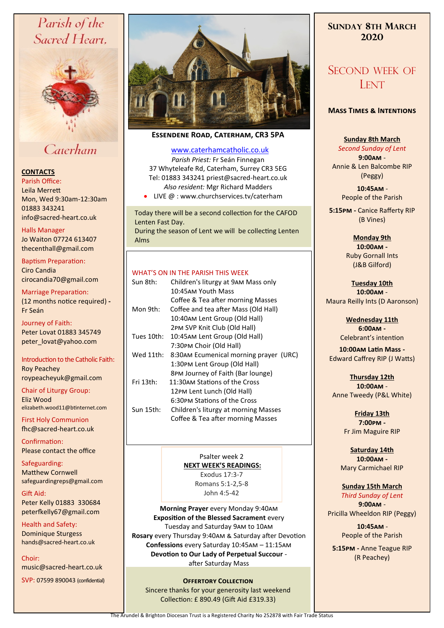# Parish of the Sacred Heart,



# Caterham

# **CONTACTS**

Parish Office: Leila Merrett Mon, Wed 9:30am-12:30am 01883 343241 info@sacred-heart.co.uk .

Halls Manager Jo Waiton 07724 613407 thecenthall@gmail.com

Baptism Preparation: Ciro Candia cirocandia70@gmail.com

Marriage Preparation: (12 months notice required) **-** Fr Seán

Journey of Faith: Peter Lovat 01883 345749 peter\_lovat@yahoo.com

Introduction to the Catholic Faith: Roy Peachey roypeacheyuk@gmail.com

Chair of Liturgy Group: Eliz Wood elizabeth.wood11@btinternet.com

First Holy Communion fhc@sacred-heart.co.uk

Confirmation: Please contact the office

Safeguarding: Matthew Cornwell safeguardingreps@gmail.com

Gift Aid: Peter Kelly 01883 330684 peterfkelly67@gmail.com

Health and Safety: Dominique Sturgess hands@sacred-heart.co.uk

Choir: music@sacred-heart.co.uk

SVP: 07599 890043 (confidential)



# **Essendene Road, Caterham, CR3 5PA**

## [www.caterhamcatholic.co.uk](http://Www.caterhamcatholic.co.uk)

*Parish Priest:* Fr Seán Finnegan 37 Whyteleafe Rd, Caterham, Surrey CR3 5EG Tel: 01883 343241 priest@sacred-heart.co.uk *Also resident:* Mgr Richard Madders

• LIVE @ : www.churchservices.tv/caterham

Today there will be a second collection for the CAFOD Lenten Fast Day. During the season of Lent we will be collecting Lenten Alms

#### WHAT'S ON IN THE PARISH THIS WEEK.

| Sun 8th:   | Children's liturgy at 9AM Mass only<br>10:45AM Youth Mass<br>Coffee & Tea after morning Masses              |
|------------|-------------------------------------------------------------------------------------------------------------|
| Mon 9th:   | Coffee and tea after Mass (Old Hall)<br>10:40AM Lent Group (Old Hall)<br>2PM SVP Knit Club (Old Hall)       |
| Tues 10th: | 10:45AM Lent Group (Old Hall)<br>7:30PM Choir (Old Hall)                                                    |
| Wed 11th:  | 8:30AM Ecumenical morning prayer (URC)<br>1:30PM Lent Group (Old Hall)<br>8PM Journey of Faith (Bar lounge) |
| Fri 13th:  | 11:30AM Stations of the Cross<br>12PM Lent Lunch (Old Hall)                                                 |
| Sun 15th:  | 6:30PM Stations of the Cross<br>Children's liturgy at morning Masses<br>Coffee & Tea after morning Masses   |

Psalter week 2 **NEXT WEEK'S READINGS:**  Exodus 17:3-7 Romans 5:1-2,5-8 John 4:5-42

**Morning Prayer** every Monday 9:40am **Exposition of the Blessed Sacrament** every Tuesday and Saturday 9am to 10am **Rosary** every Thursday 9:40am & Saturday after Devotion **Confessions** every Saturday 10:45am – 11:15am **Devotion to Our Lady of Perpetual Succour**  after Saturday Mass

# **OFFERTORY COLLECTION**

Sincere thanks for your generosity last weekend Collection: £ 890.49 (Gift Aid £319.33)

# **SUNDAY 8TH MARCH 2020**

# SECOND WEEK OF LENT

# **Mass Times & Intentions**

## **Sunday 8th March**

*Second Sunday of Lent* **9:00am** - Annie & Len Balcombe RIP (Peggy)

> .**10:45am** - People of the Parish

**5:15pm -** Canice Rafferty RIP (B Vines)

> **Monday 9th 10:00am -** Ruby Gornall Ints (J&B Gilford)

**Tuesday 10th 10:00am** - Maura Reilly Ints (D Aaronson)

> **Wednesday 11th 6:00am -** Celebrant's intention

**10:00am Latin Mass -** Edward Caffrey RIP (J Watts)

**Thursday 12th 10:00am** - Anne Tweedy (P&L White)

> **Friday 13th 7:00pm -** Fr Jim Maguire RIP

**Saturday 14th 10:00am -**  Mary Carmichael RIP

**Sunday 15th March** *Third Sunday of Lent* **9:00am** - Pricilla Wheeldon RIP (Peggy)

> .**10:45am** - People of the Parish

**5:15pm -** Anne Teague RIP (R Peachey)

The Arundel & Brighton Diocesan Trust is a Registered Charity No 252878 with Fair Trade Status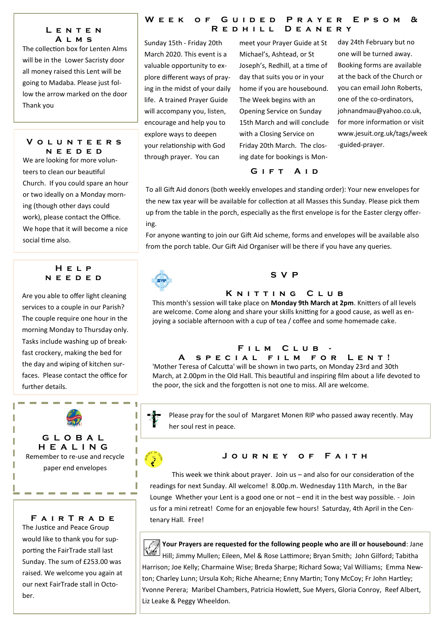# **L e n t e n A l m s**

The collection box for Lenten Alms will be in the Lower Sacristy door all money raised this Lent will be going to Madaba. Please just follow the arrow marked on the door Thank you

## **V o l u n t e e r s n e e d e d**

We are looking for more volunteers to clean our beautiful Church. If you could spare an hour or two ideally on a Monday morning (though other days could work), please contact the Office. We hope that it will become a nice social time also.

# **H e l p n e e d e d**

Are you able to offer light cleaning services to a couple in our Parish? The couple require one hour in the morning Monday to Thursday only. Tasks include washing up of breakfast crockery, making the bed for the day and wiping of kitchen surfaces. Please contact the office for further details.



**F a i r T r a d e** The Justice and Peace Group would like to thank you for supporting the FairTrade stall last Sunday. The sum of £253.00 was raised. We welcome you again at our next FairTrade stall in October.

# WEEK OF GUIDED PRAYER EPSOM & R E D H I L L D E A N E R Y

Sunday 15th - Friday 20th March 2020. This event is a valuable opportunity to explore different ways of praying in the midst of your daily life. A trained Prayer Guide will accompany you, listen, encourage and help you to explore ways to deepen your relationship with God through prayer. You can

meet your Prayer Guide at St Michael's, Ashtead, or St Joseph's, Redhill, at a time of day that suits you or in your home if you are housebound. The Week begins with an Opening Service on Sunday 15th March and will conclude with a Closing Service on Friday 20th March. The closing date for bookings is Mon-

one will be turned away. Booking forms are available at the back of the Church or you can email John Roberts, one of the co-ordinators, johnandmau@yahoo.co.uk, for more information or visit www.jesuit.org.uk/tags/week -guided-prayer.

day 24th February but no

# **G i f t A i d**

To all Gift Aid donors (both weekly envelopes and standing order): Your new envelopes for the new tax year will be available for collection at all Masses this Sunday. Please pick them up from the table in the porch, especially as the first envelope is for the Easter clergy offering.

For anyone wanting to join our Gift Aid scheme, forms and envelopes will be available also from the porch table. Our Gift Aid Organiser will be there if you have any queries.



# **S V P**

## **K N ITTING CLUB**

This month's session will take place on **Monday 9th March at 2pm**. Knitters of all levels are welcome. Come along and share your skills knitting for a good cause, as well as enjoying a sociable afternoon with a cup of tea / coffee and some homemade cake.

# FILM CLUB

# **A s p e c i a l f i l m f o r L e n t !**

'Mother Teresa of Calcutta' will be shown in two parts, on Monday 23rd and 30th March, at 2.00pm in the Old Hall. This beautiful and inspiring film about a life devoted to the poor, the sick and the forgotten is not one to miss. All are welcome.



ſ

Please pray for the soul of Margaret Monen RIP who passed away recently. May her soul rest in peace.

# **J o u r n e y o f F a i t h**

This week we think about prayer. Join us – and also for our consideration of the readings for next Sunday. All welcome! 8.00p.m. Wednesday 11th March, in the Bar Lounge Whether your Lent is a good one or not – end it in the best way possible. - Join us for a mini retreat! Come for an enjoyable few hours! Saturday, 4th April in the Centenary Hall. Free!



**Your Prayers are requested for the following people who are ill or housebound**: Jane Hill; Jimmy Mullen; Eileen, Mel & Rose Lattimore; Bryan Smith; John Gilford; Tabitha Harrison; Joe Kelly; Charmaine Wise; Breda Sharpe; Richard Sowa; Val Williams; Emma Newton; Charley Lunn; Ursula Koh; Riche Ahearne; Enny Martin; Tony McCoy; Fr John Hartley; Yvonne Perera; Maribel Chambers, Patricia Howlett, Sue Myers, Gloria Conroy, Reef Albert, Liz Leake & Peggy Wheeldon.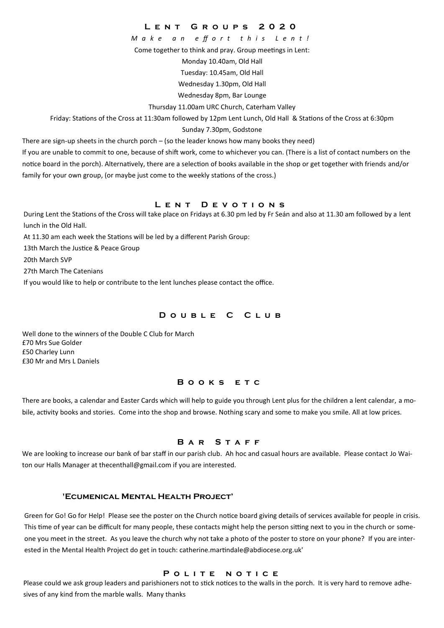**L e n t G r o u p s 2 0 2 0**

*M a k e a n e ff o r t t h i s L e n t !*

Come together to think and pray. Group meetings in Lent:

Monday 10.40am, Old Hall

Tuesday: 10.45am, Old Hall

Wednesday 1.30pm, Old Hall

Wednesday 8pm, Bar Lounge

Thursday 11.00am URC Church, Caterham Valley

Friday: Stations of the Cross at 11:30am followed by 12pm Lent Lunch, Old Hall & Stations of the Cross at 6:30pm

Sunday 7.30pm, Godstone

There are sign-up sheets in the church porch – (so the leader knows how many books they need)

If you are unable to commit to one, because of shift work, come to whichever you can. (There is a list of contact numbers on the notice board in the porch). Alternatively, there are a selection of books available in the shop or get together with friends and/or family for your own group, (or maybe just come to the weekly stations of the cross.)

# **L e n t D e v o t i o n s**

During Lent the Stations of the Cross will take place on Fridays at 6.30 pm led by Fr Seán and also at 11.30 am followed by a lent lunch in the Old Hall.

At 11.30 am each week the Stations will be led by a different Parish Group:

13th March the Justice & Peace Group

20th March SVP

27th March The Catenians

If you would like to help or contribute to the lent lunches please contact the office.

## **D o u b l e C C l u b**

Well done to the winners of the Double C Club for March £70 Mrs Sue Golder £50 Charley Lunn £30 Mr and Mrs L Daniels

#### **B o o k s e t c**

There are books, a calendar and Easter Cards which will help to guide you through Lent plus for the children a lent calendar, a mobile, activity books and stories. Come into the shop and browse. Nothing scary and some to make you smile. All at low prices.

## **B a r S t a f f**

We are looking to increase our bank of bar staff in our parish club. Ah hoc and casual hours are available. Please contact Jo Waiton our Halls Manager at thecenthall@gmail.com if you are interested.

## **'Ecumenical Mental Health Project'**

Green for Go! Go for Help! Please see the poster on the Church notice board giving details of services available for people in crisis. This time of year can be difficult for many people, these contacts might help the person sitting next to you in the church or someone you meet in the street. As you leave the church why not take a photo of the poster to store on your phone? If you are interested in the Mental Health Project do get in touch: catherine.martindale@abdiocese.org.uk'

#### POLITE NOTICE

Please could we ask group leaders and parishioners not to stick notices to the walls in the porch. It is very hard to remove adhesives of any kind from the marble walls. Many thanks